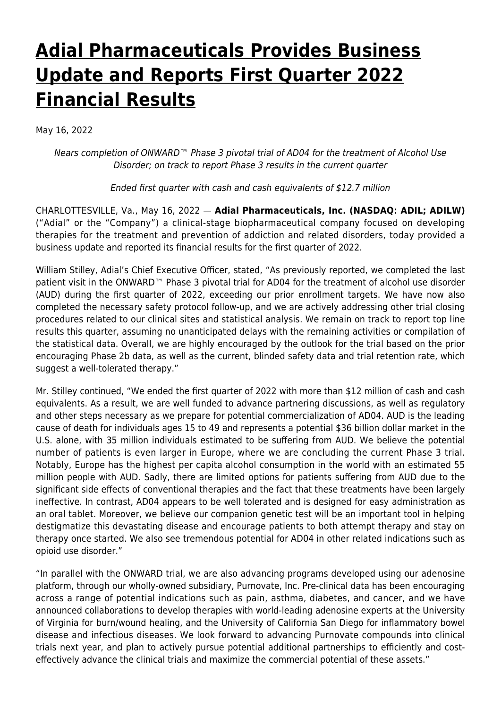# **[Adial Pharmaceuticals Provides Business](https://www.adial.com/adial-pharmaceuticals-provides-business-update-and-reports-first-quarter-2022-financial-results/) [Update and Reports First Quarter 2022](https://www.adial.com/adial-pharmaceuticals-provides-business-update-and-reports-first-quarter-2022-financial-results/) [Financial Results](https://www.adial.com/adial-pharmaceuticals-provides-business-update-and-reports-first-quarter-2022-financial-results/)**

May 16, 2022

Nears completion of ONWARD™ Phase 3 pivotal trial of AD04 for the treatment of Alcohol Use Disorder; on track to report Phase 3 results in the current quarter

Ended first quarter with cash and cash equivalents of \$12.7 million

CHARLOTTESVILLE, Va., May 16, 2022 — **Adial Pharmaceuticals, Inc. (NASDAQ: ADIL; ADILW)** ("Adial" or the "Company") a clinical-stage biopharmaceutical company focused on developing therapies for the treatment and prevention of addiction and related disorders, today provided a business update and reported its financial results for the first quarter of 2022.

William Stilley, Adial's Chief Executive Officer, stated, "As previously reported, we completed the last patient visit in the ONWARD™ Phase 3 pivotal trial for AD04 for the treatment of alcohol use disorder (AUD) during the first quarter of 2022, exceeding our prior enrollment targets. We have now also completed the necessary safety protocol follow-up, and we are actively addressing other trial closing procedures related to our clinical sites and statistical analysis. We remain on track to report top line results this quarter, assuming no unanticipated delays with the remaining activities or compilation of the statistical data. Overall, we are highly encouraged by the outlook for the trial based on the prior encouraging Phase 2b data, as well as the current, blinded safety data and trial retention rate, which suggest a well-tolerated therapy."

Mr. Stilley continued, "We ended the first quarter of 2022 with more than \$12 million of cash and cash equivalents. As a result, we are well funded to advance partnering discussions, as well as regulatory and other steps necessary as we prepare for potential commercialization of AD04. AUD is the leading cause of death for individuals ages 15 to 49 and represents a potential \$36 billion dollar market in the U.S. alone, with 35 million individuals estimated to be suffering from AUD. We believe the potential number of patients is even larger in Europe, where we are concluding the current Phase 3 trial. Notably, Europe has the highest per capita alcohol consumption in the world with an estimated 55 million people with AUD. Sadly, there are limited options for patients suffering from AUD due to the significant side effects of conventional therapies and the fact that these treatments have been largely ineffective. In contrast, AD04 appears to be well tolerated and is designed for easy administration as an oral tablet. Moreover, we believe our companion genetic test will be an important tool in helping destigmatize this devastating disease and encourage patients to both attempt therapy and stay on therapy once started. We also see tremendous potential for AD04 in other related indications such as opioid use disorder."

"In parallel with the ONWARD trial, we are also advancing programs developed using our adenosine platform, through our wholly-owned subsidiary, Purnovate, Inc. Pre-clinical data has been encouraging across a range of potential indications such as pain, asthma, diabetes, and cancer, and we have announced collaborations to develop therapies with world-leading adenosine experts at the University of Virginia for burn/wound healing, and the University of California San Diego for inflammatory bowel disease and infectious diseases. We look forward to advancing Purnovate compounds into clinical trials next year, and plan to actively pursue potential additional partnerships to efficiently and costeffectively advance the clinical trials and maximize the commercial potential of these assets."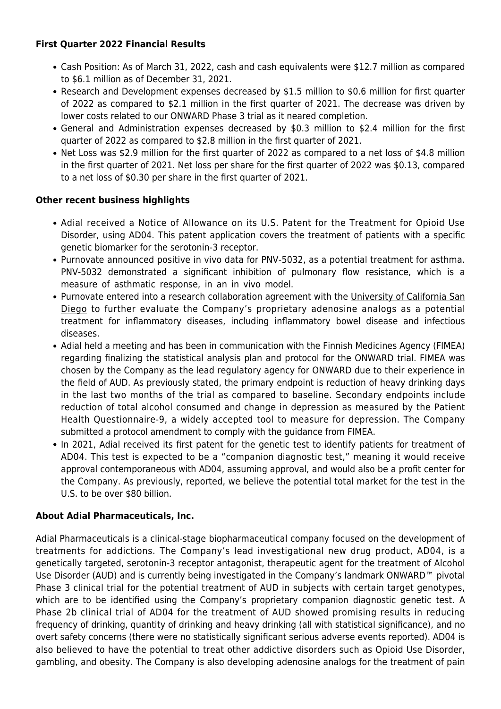### **First Quarter 2022 Financial Results**

- Cash Position: As of March 31, 2022, cash and cash equivalents were \$12.7 million as compared to \$6.1 million as of December 31, 2021.
- Research and Development expenses decreased by \$1.5 million to \$0.6 million for first quarter of 2022 as compared to \$2.1 million in the first quarter of 2021. The decrease was driven by lower costs related to our ONWARD Phase 3 trial as it neared completion.
- General and Administration expenses decreased by \$0.3 million to \$2.4 million for the first quarter of 2022 as compared to \$2.8 million in the first quarter of 2021.
- Net Loss was \$2.9 million for the first quarter of 2022 as compared to a net loss of \$4.8 million in the first quarter of 2021. Net loss per share for the first quarter of 2022 was \$0.13, compared to a net loss of \$0.30 per share in the first quarter of 2021.

# **Other recent business highlights**

- Adial received a Notice of Allowance on its U.S. Patent for the Treatment for Opioid Use Disorder, using AD04. This patent application covers the treatment of patients with a specific genetic biomarker for the serotonin-3 receptor.
- Purnovate announced positive in vivo data for PNV-5032, as a potential treatment for asthma. PNV-5032 demonstrated a significant inhibition of pulmonary flow resistance, which is a measure of asthmatic response, in an in vivo model.
- Purnovate entered into a research collaboration agreement with the [University of California San](https://www.globenewswire.com/Tracker?data=b2qkWtG-NRo-dFLhmALan-69kfDqjtjJQDRDQn_HSW18ovyWP38lWjv5-PrDGXsDN2rTtFC1j7HV8wwsBHrwc8MkK93qlKZ6dydsTpa99Us=) [Diego](https://www.globenewswire.com/Tracker?data=b2qkWtG-NRo-dFLhmALan-69kfDqjtjJQDRDQn_HSW18ovyWP38lWjv5-PrDGXsDN2rTtFC1j7HV8wwsBHrwc8MkK93qlKZ6dydsTpa99Us=) to further evaluate the Company's proprietary adenosine analogs as a potential treatment for inflammatory diseases, including inflammatory bowel disease and infectious diseases.
- Adial held a meeting and has been in communication with the Finnish Medicines Agency (FIMEA) regarding finalizing the statistical analysis plan and protocol for the ONWARD trial. FIMEA was chosen by the Company as the lead regulatory agency for ONWARD due to their experience in the field of AUD. As previously stated, the primary endpoint is reduction of heavy drinking days in the last two months of the trial as compared to baseline. Secondary endpoints include reduction of total alcohol consumed and change in depression as measured by the Patient Health Questionnaire-9, a widely accepted tool to measure for depression. The Company submitted a protocol amendment to comply with the guidance from FIMEA.
- In 2021, Adial received its first patent for the genetic test to identify patients for treatment of AD04. This test is expected to be a "companion diagnostic test," meaning it would receive approval contemporaneous with AD04, assuming approval, and would also be a profit center for the Company. As previously, reported, we believe the potential total market for the test in the U.S. to be over \$80 billion.

# **About Adial Pharmaceuticals, Inc.**

Adial Pharmaceuticals is a clinical-stage biopharmaceutical company focused on the development of treatments for addictions. The Company's lead investigational new drug product, AD04, is a genetically targeted, serotonin-3 receptor antagonist, therapeutic agent for the treatment of Alcohol Use Disorder (AUD) and is currently being investigated in the Company's landmark ONWARD™ pivotal Phase 3 clinical trial for the potential treatment of AUD in subjects with certain target genotypes, which are to be identified using the Company's proprietary companion diagnostic genetic test. A Phase 2b clinical trial of AD04 for the treatment of AUD showed promising results in reducing frequency of drinking, quantity of drinking and heavy drinking (all with statistical significance), and no overt safety concerns (there were no statistically significant serious adverse events reported). AD04 is also believed to have the potential to treat other addictive disorders such as Opioid Use Disorder, gambling, and obesity. The Company is also developing adenosine analogs for the treatment of pain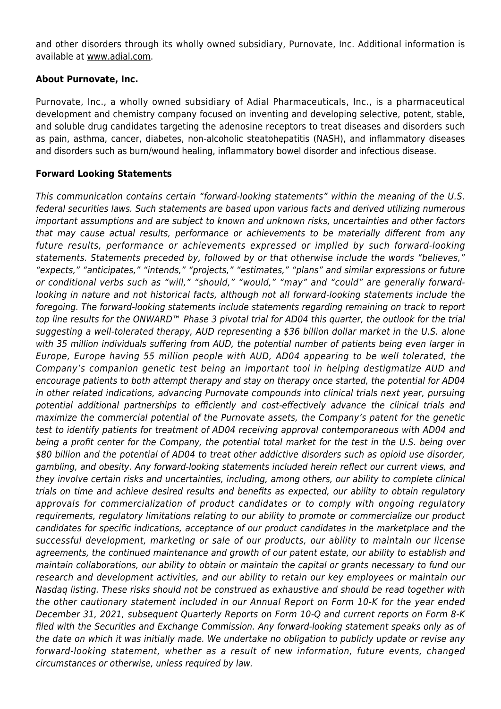and other disorders through its wholly owned subsidiary, Purnovate, Inc. Additional information is available at [www.adial.com](https://www.globenewswire.com/Tracker?data=BpxzwYTwZhSAdVzYdua3D8B-CpEy4sm6eHlh7cClN4y1qS6aeBhNqhv7M2mkNekcFX8gwhEz-c92vRt7ldKFiA==).

### **About Purnovate, Inc.**

Purnovate, Inc., a wholly owned subsidiary of Adial Pharmaceuticals, Inc., is a pharmaceutical development and chemistry company focused on inventing and developing selective, potent, stable, and soluble drug candidates targeting the adenosine receptors to treat diseases and disorders such as pain, asthma, cancer, diabetes, non-alcoholic steatohepatitis (NASH), and inflammatory diseases and disorders such as burn/wound healing, inflammatory bowel disorder and infectious disease.

### **Forward Looking Statements**

This communication contains certain "forward-looking statements" within the meaning of the U.S. federal securities laws. Such statements are based upon various facts and derived utilizing numerous important assumptions and are subject to known and unknown risks, uncertainties and other factors that may cause actual results, performance or achievements to be materially different from any future results, performance or achievements expressed or implied by such forward-looking statements. Statements preceded by, followed by or that otherwise include the words "believes," "expects," "anticipates," "intends," "projects," "estimates," "plans" and similar expressions or future or conditional verbs such as "will," "should," "would," "may" and "could" are generally forwardlooking in nature and not historical facts, although not all forward-looking statements include the foregoing. The forward-looking statements include statements regarding remaining on track to report top line results for the ONWARD™ Phase 3 pivotal trial for AD04 this quarter, the outlook for the trial suggesting a well-tolerated therapy, AUD representing a \$36 billion dollar market in the U.S. alone with 35 million individuals suffering from AUD, the potential number of patients being even larger in Europe, Europe having 55 million people with AUD, AD04 appearing to be well tolerated, the Company's companion genetic test being an important tool in helping destigmatize AUD and encourage patients to both attempt therapy and stay on therapy once started, the potential for AD04 in other related indications, advancing Purnovate compounds into clinical trials next year, pursuing potential additional partnerships to efficiently and cost-effectively advance the clinical trials and maximize the commercial potential of the Purnovate assets, the Company's patent for the genetic test to identify patients for treatment of AD04 receiving approval contemporaneous with AD04 and being a profit center for the Company, the potential total market for the test in the U.S. being over \$80 billion and the potential of AD04 to treat other addictive disorders such as opioid use disorder, gambling, and obesity. Any forward-looking statements included herein reflect our current views, and they involve certain risks and uncertainties, including, among others, our ability to complete clinical trials on time and achieve desired results and benefits as expected, our ability to obtain regulatory approvals for commercialization of product candidates or to comply with ongoing regulatory requirements, regulatory limitations relating to our ability to promote or commercialize our product candidates for specific indications, acceptance of our product candidates in the marketplace and the successful development, marketing or sale of our products, our ability to maintain our license agreements, the continued maintenance and growth of our patent estate, our ability to establish and maintain collaborations, our ability to obtain or maintain the capital or grants necessary to fund our research and development activities, and our ability to retain our key employees or maintain our Nasdaq listing. These risks should not be construed as exhaustive and should be read together with the other cautionary statement included in our Annual Report on Form 10-K for the year ended December 31, 2021, subsequent Quarterly Reports on Form 10-Q and current reports on Form 8-K filed with the Securities and Exchange Commission. Any forward-looking statement speaks only as of the date on which it was initially made. We undertake no obligation to publicly update or revise any forward-looking statement, whether as a result of new information, future events, changed circumstances or otherwise, unless required by law.